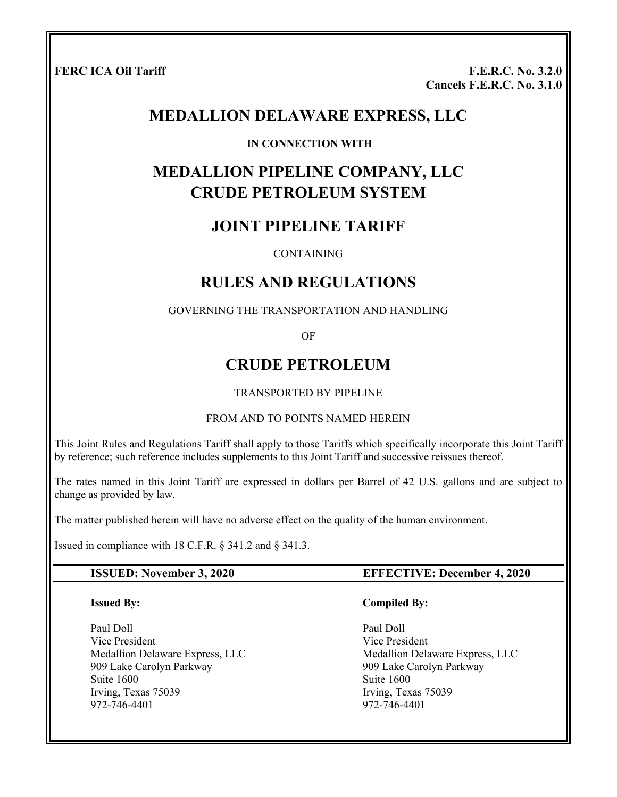**FERC ICA Oil Tariff F.E.R.C. No. 3.2.0 Cancels F.E.R.C. No. 3.1.0**

# **MEDALLION DELAWARE EXPRESS, LLC**

#### **IN CONNECTION WITH**

# **MEDALLION PIPELINE COMPANY, LLC CRUDE PETROLEUM SYSTEM**

# **JOINT PIPELINE TARIFF**

#### **CONTAINING**

# **RULES AND REGULATIONS**

#### GOVERNING THE TRANSPORTATION AND HANDLING

OF

# **CRUDE PETROLEUM**

#### TRANSPORTED BY PIPELINE

#### FROM AND TO POINTS NAMED HEREIN

This Joint Rules and Regulations Tariff shall apply to those Tariffs which specifically incorporate this Joint Tariff by reference; such reference includes supplements to this Joint Tariff and successive reissues thereof.

The rates named in this Joint Tariff are expressed in dollars per Barrel of 42 U.S. gallons and are subject to change as provided by law.

The matter published herein will have no adverse effect on the quality of the human environment.

Issued in compliance with 18 C.F.R. § 341.2 and § 341.3.

#### **ISSUED: November 3, 2020 EFFECTIVE: December 4, 2020**

#### **Issued By:**

Paul Doll Vice President Medallion Delaware Express, LLC 909 Lake Carolyn Parkway Suite 1600 Irving, Texas 75039 972-746-4401

#### **Compiled By:**

 Paul Doll Vice President Medallion Delaware Express, LLC 909 Lake Carolyn Parkway Suite 1600 Irving, Texas 75039 972-746-4401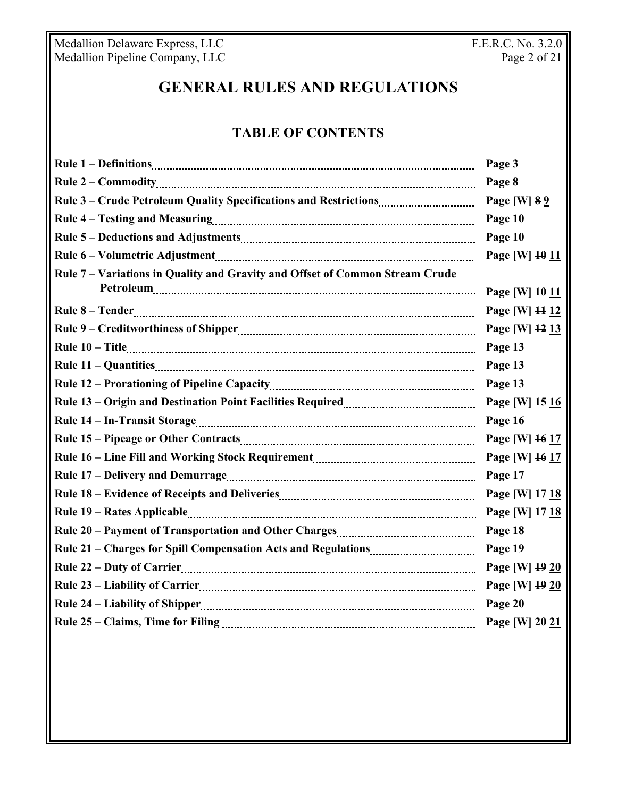Medallion Delaware Express, LLC The Contract of the F.E.R.C. No. 3.2.0 Medallion Pipeline Company, LLC **Page 2 of 21** 

# **GENERAL RULES AND REGULATIONS**

# **TABLE OF CONTENTS**

| Page 3          |
|-----------------|
| Page 8          |
| Page [W] 8 9    |
| Page 10         |
| Page 10         |
| Page [W] 10 11  |
|                 |
| Page [W] 10 11  |
| Page [W] 11 12  |
| Page [W] 12 13  |
| Page 13         |
| Page 13         |
| Page 13         |
| Page [W] $1516$ |
| Page 16         |
| Page [W] 16 17  |
| Page [W] 16 17  |
| Page 17         |
| Page [W] 17 18  |
| Page [W] 17 18  |
| Page 18         |
| Page 19         |
| Page [W] 19 20  |
| Page [W] 19 20  |
| Page 20         |
| Page [W] 20 21  |
|                 |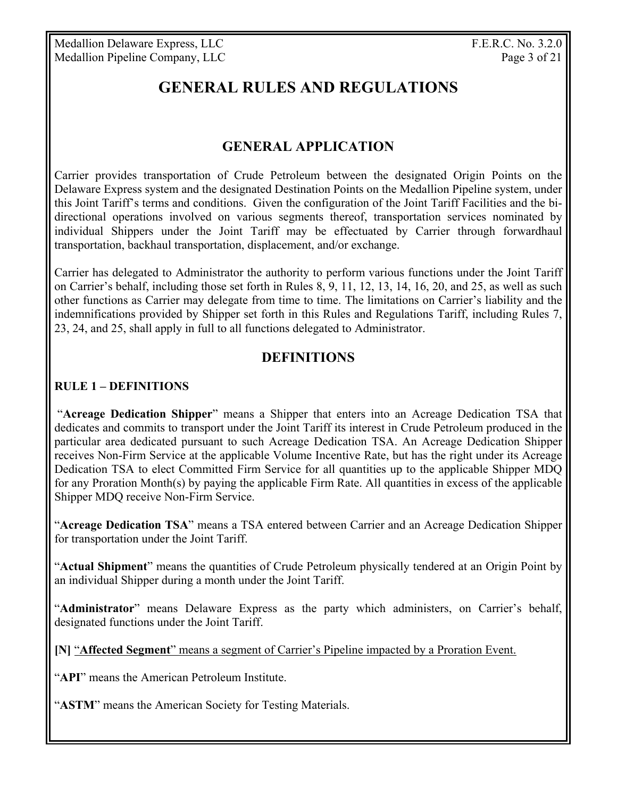# **GENERAL RULES AND REGULATIONS**

# **GENERAL APPLICATION**

Carrier provides transportation of Crude Petroleum between the designated Origin Points on the Delaware Express system and the designated Destination Points on the Medallion Pipeline system, under this Joint Tariff's terms and conditions. Given the configuration of the Joint Tariff Facilities and the bidirectional operations involved on various segments thereof, transportation services nominated by individual Shippers under the Joint Tariff may be effectuated by Carrier through forwardhaul transportation, backhaul transportation, displacement, and/or exchange.

Carrier has delegated to Administrator the authority to perform various functions under the Joint Tariff on Carrier's behalf, including those set forth in Rules 8, 9, 11, 12, 13, 14, 16, 20, and 25, as well as such other functions as Carrier may delegate from time to time. The limitations on Carrier's liability and the indemnifications provided by Shipper set forth in this Rules and Regulations Tariff, including Rules 7, 23, 24, and 25, shall apply in full to all functions delegated to Administrator.

# **DEFINITIONS**

#### **RULE 1 – DEFINITIONS**

 "**Acreage Dedication Shipper**" means a Shipper that enters into an Acreage Dedication TSA that dedicates and commits to transport under the Joint Tariff its interest in Crude Petroleum produced in the particular area dedicated pursuant to such Acreage Dedication TSA. An Acreage Dedication Shipper receives Non-Firm Service at the applicable Volume Incentive Rate, but has the right under its Acreage Dedication TSA to elect Committed Firm Service for all quantities up to the applicable Shipper MDQ for any Proration Month(s) by paying the applicable Firm Rate. All quantities in excess of the applicable Shipper MDQ receive Non-Firm Service.

"**Acreage Dedication TSA**" means a TSA entered between Carrier and an Acreage Dedication Shipper for transportation under the Joint Tariff.

"**Actual Shipment**" means the quantities of Crude Petroleum physically tendered at an Origin Point by an individual Shipper during a month under the Joint Tariff.

"**Administrator**" means Delaware Express as the party which administers, on Carrier's behalf, designated functions under the Joint Tariff.

**[N]** "**Affected Segment**" means a segment of Carrier's Pipeline impacted by a Proration Event.

"**API**" means the American Petroleum Institute.

"**ASTM**" means the American Society for Testing Materials.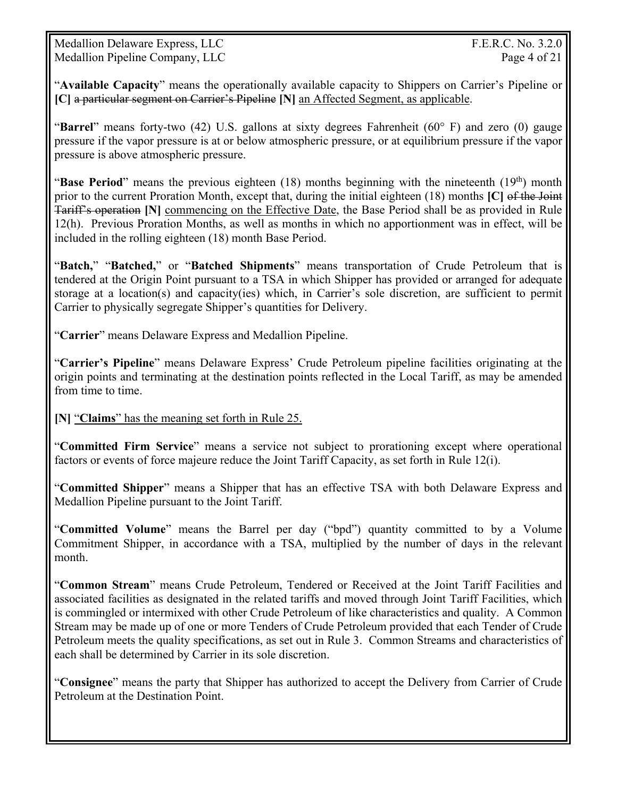Medallion Delaware Express, LLC The Contract of the Second Seconds and T.E.R.C. No. 3.2.0 Medallion Pipeline Company, LLC Page 4 of 21

"**Available Capacity**" means the operationally available capacity to Shippers on Carrier's Pipeline or **[C]** a particular segment on Carrier's Pipeline **[N]** an Affected Segment, as applicable.

"**Barrel**" means forty-two (42) U.S. gallons at sixty degrees Fahrenheit (60° F) and zero (0) gauge pressure if the vapor pressure is at or below atmospheric pressure, or at equilibrium pressure if the vapor pressure is above atmospheric pressure.

"**Base Period**" means the previous eighteen (18) months beginning with the nineteenth (19<sup>th</sup>) month prior to the current Proration Month, except that, during the initial eighteen (18) months **[C]** of the Joint Tariff's operation **[N]** commencing on the Effective Date, the Base Period shall be as provided in Rule 12(h). Previous Proration Months, as well as months in which no apportionment was in effect, will be included in the rolling eighteen (18) month Base Period.

"**Batch,**" "**Batched,**" or "**Batched Shipments**" means transportation of Crude Petroleum that is tendered at the Origin Point pursuant to a TSA in which Shipper has provided or arranged for adequate storage at a location(s) and capacity(ies) which, in Carrier's sole discretion, are sufficient to permit Carrier to physically segregate Shipper's quantities for Delivery.

"**Carrier**" means Delaware Express and Medallion Pipeline.

"**Carrier's Pipeline**" means Delaware Express' Crude Petroleum pipeline facilities originating at the origin points and terminating at the destination points reflected in the Local Tariff, as may be amended from time to time.

**[N]** "**Claims**" has the meaning set forth in Rule 25.

"**Committed Firm Service**" means a service not subject to prorationing except where operational factors or events of force majeure reduce the Joint Tariff Capacity, as set forth in Rule 12(i).

"**Committed Shipper**" means a Shipper that has an effective TSA with both Delaware Express and Medallion Pipeline pursuant to the Joint Tariff.

"**Committed Volume**" means the Barrel per day ("bpd") quantity committed to by a Volume Commitment Shipper, in accordance with a TSA, multiplied by the number of days in the relevant month.

"**Common Stream**" means Crude Petroleum, Tendered or Received at the Joint Tariff Facilities and associated facilities as designated in the related tariffs and moved through Joint Tariff Facilities, which is commingled or intermixed with other Crude Petroleum of like characteristics and quality. A Common Stream may be made up of one or more Tenders of Crude Petroleum provided that each Tender of Crude Petroleum meets the quality specifications, as set out in Rule 3. Common Streams and characteristics of each shall be determined by Carrier in its sole discretion.

"**Consignee**" means the party that Shipper has authorized to accept the Delivery from Carrier of Crude Petroleum at the Destination Point.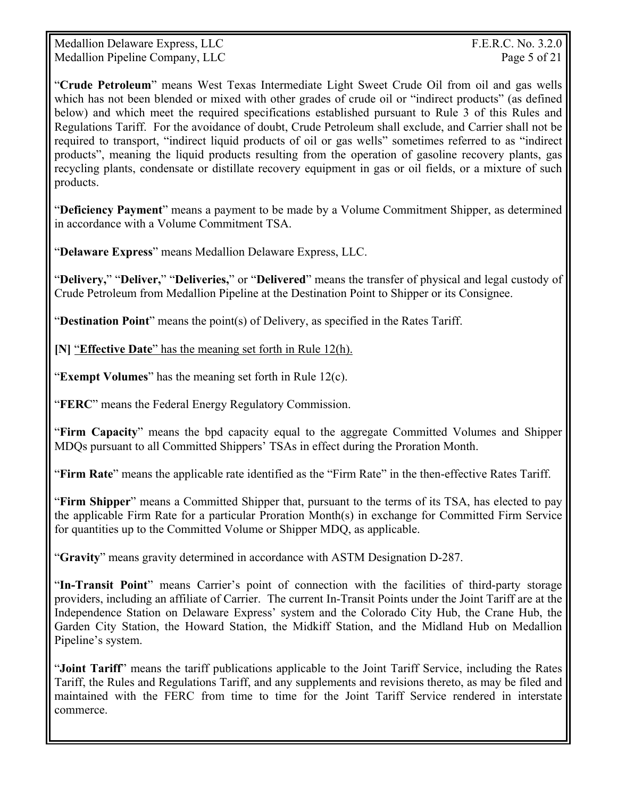Medallion Delaware Express, LLC The Contract of the Second Seconds and T.E.R.C. No. 3.2.0 Medallion Pipeline Company, LLC Page 5 of 21

"**Crude Petroleum**" means West Texas Intermediate Light Sweet Crude Oil from oil and gas wells which has not been blended or mixed with other grades of crude oil or "indirect products" (as defined below) and which meet the required specifications established pursuant to Rule 3 of this Rules and Regulations Tariff. For the avoidance of doubt, Crude Petroleum shall exclude, and Carrier shall not be required to transport, "indirect liquid products of oil or gas wells" sometimes referred to as "indirect products", meaning the liquid products resulting from the operation of gasoline recovery plants, gas recycling plants, condensate or distillate recovery equipment in gas or oil fields, or a mixture of such products.

"**Deficiency Payment**" means a payment to be made by a Volume Commitment Shipper, as determined in accordance with a Volume Commitment TSA.

"**Delaware Express**" means Medallion Delaware Express, LLC.

"**Delivery,**" "**Deliver,**" "**Deliveries,**" or "**Delivered**" means the transfer of physical and legal custody of Crude Petroleum from Medallion Pipeline at the Destination Point to Shipper or its Consignee.

"**Destination Point**" means the point(s) of Delivery, as specified in the Rates Tariff.

**[N]** "**Effective Date**" has the meaning set forth in Rule 12(h).

"**Exempt Volumes**" has the meaning set forth in Rule 12(c).

"**FERC**" means the Federal Energy Regulatory Commission.

"**Firm Capacity**" means the bpd capacity equal to the aggregate Committed Volumes and Shipper MDQs pursuant to all Committed Shippers' TSAs in effect during the Proration Month.

"**Firm Rate**" means the applicable rate identified as the "Firm Rate" in the then-effective Rates Tariff.

"**Firm Shipper**" means a Committed Shipper that, pursuant to the terms of its TSA, has elected to pay the applicable Firm Rate for a particular Proration Month(s) in exchange for Committed Firm Service for quantities up to the Committed Volume or Shipper MDQ, as applicable.

"**Gravity**" means gravity determined in accordance with ASTM Designation D-287.

"**In-Transit Point**" means Carrier's point of connection with the facilities of third-party storage providers, including an affiliate of Carrier. The current In-Transit Points under the Joint Tariff are at the Independence Station on Delaware Express' system and the Colorado City Hub, the Crane Hub, the Garden City Station, the Howard Station, the Midkiff Station, and the Midland Hub on Medallion Pipeline's system.

"**Joint Tariff**" means the tariff publications applicable to the Joint Tariff Service, including the Rates Tariff, the Rules and Regulations Tariff, and any supplements and revisions thereto, as may be filed and maintained with the FERC from time to time for the Joint Tariff Service rendered in interstate commerce.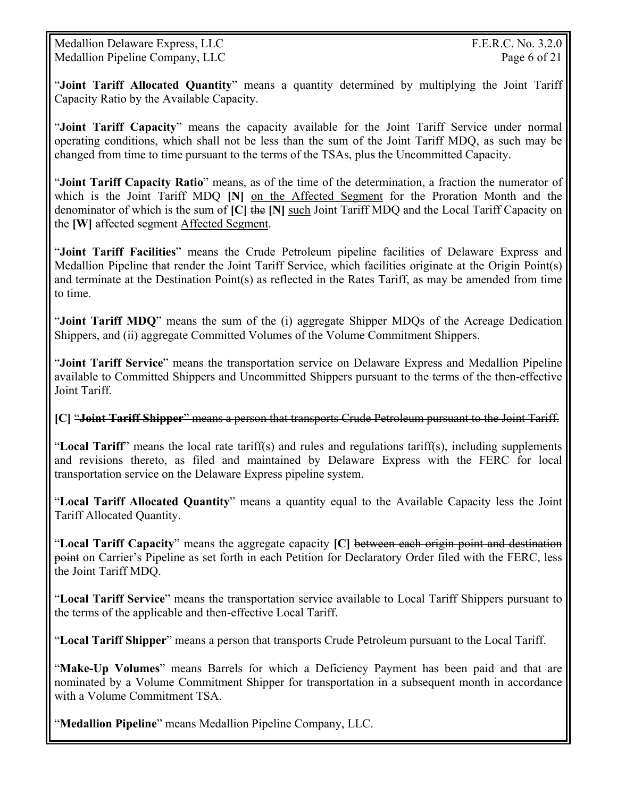Medallion Delaware Express, LLC The Contract of the Second Seconds and T.E.R.C. No. 3.2.0 Medallion Pipeline Company, LLC Page 6 of 21

"**Joint Tariff Allocated Quantity**" means a quantity determined by multiplying the Joint Tariff Capacity Ratio by the Available Capacity.

"**Joint Tariff Capacity**" means the capacity available for the Joint Tariff Service under normal operating conditions, which shall not be less than the sum of the Joint Tariff MDQ, as such may be changed from time to time pursuant to the terms of the TSAs, plus the Uncommitted Capacity.

"**Joint Tariff Capacity Ratio**" means, as of the time of the determination, a fraction the numerator of which is the Joint Tariff MDQ **[N]** on the Affected Segment for the Proration Month and the denominator of which is the sum of **[C]** the **[N]** such Joint Tariff MDQ and the Local Tariff Capacity on the **[W]** affected segment Affected Segment.

"**Joint Tariff Facilities**" means the Crude Petroleum pipeline facilities of Delaware Express and Medallion Pipeline that render the Joint Tariff Service, which facilities originate at the Origin Point(s) and terminate at the Destination Point(s) as reflected in the Rates Tariff, as may be amended from time to time.

"**Joint Tariff MDQ**" means the sum of the (i) aggregate Shipper MDQs of the Acreage Dedication Shippers, and (ii) aggregate Committed Volumes of the Volume Commitment Shippers.

"**Joint Tariff Service**" means the transportation service on Delaware Express and Medallion Pipeline available to Committed Shippers and Uncommitted Shippers pursuant to the terms of the then-effective Joint Tariff.

**[C]** "**Joint Tariff Shipper**" means a person that transports Crude Petroleum pursuant to the Joint Tariff.

"**Local Tariff**" means the local rate tariff(s) and rules and regulations tariff(s), including supplements and revisions thereto, as filed and maintained by Delaware Express with the FERC for local transportation service on the Delaware Express pipeline system.

"**Local Tariff Allocated Quantity**" means a quantity equal to the Available Capacity less the Joint Tariff Allocated Quantity.

"**Local Tariff Capacity**" means the aggregate capacity **[C]** between each origin point and destination point on Carrier's Pipeline as set forth in each Petition for Declaratory Order filed with the FERC, less the Joint Tariff MDQ.

"**Local Tariff Service**" means the transportation service available to Local Tariff Shippers pursuant to the terms of the applicable and then-effective Local Tariff.

"**Local Tariff Shipper**" means a person that transports Crude Petroleum pursuant to the Local Tariff.

"**Make-Up Volumes**" means Barrels for which a Deficiency Payment has been paid and that are nominated by a Volume Commitment Shipper for transportation in a subsequent month in accordance with a Volume Commitment TSA.

"**Medallion Pipeline**" means Medallion Pipeline Company, LLC.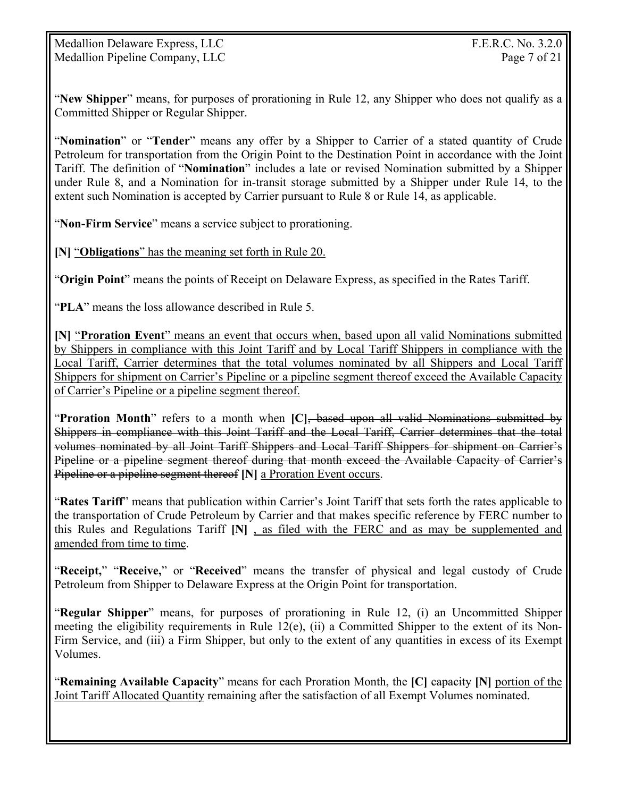"**New Shipper**" means, for purposes of prorationing in Rule 12, any Shipper who does not qualify as a Committed Shipper or Regular Shipper.

"**Nomination**" or "**Tender**" means any offer by a Shipper to Carrier of a stated quantity of Crude Petroleum for transportation from the Origin Point to the Destination Point in accordance with the Joint Tariff. The definition of "**Nomination**" includes a late or revised Nomination submitted by a Shipper under Rule 8, and a Nomination for in-transit storage submitted by a Shipper under Rule 14, to the extent such Nomination is accepted by Carrier pursuant to Rule 8 or Rule 14, as applicable.

"**Non-Firm Service**" means a service subject to prorationing.

**[N]** "**Obligations**" has the meaning set forth in Rule 20.

"**Origin Point**" means the points of Receipt on Delaware Express, as specified in the Rates Tariff.

"**PLA**" means the loss allowance described in Rule 5.

**[N]** "**Proration Event**" means an event that occurs when, based upon all valid Nominations submitted by Shippers in compliance with this Joint Tariff and by Local Tariff Shippers in compliance with the Local Tariff, Carrier determines that the total volumes nominated by all Shippers and Local Tariff Shippers for shipment on Carrier's Pipeline or a pipeline segment thereof exceed the Available Capacity of Carrier's Pipeline or a pipeline segment thereof.

"**Proration Month**" refers to a month when **[C]**, based upon all valid Nominations submitted by Shippers in compliance with this Joint Tariff and the Local Tariff, Carrier determines that the total volumes nominated by all Joint Tariff Shippers and Local Tariff Shippers for shipment on Carrier's Pipeline or a pipeline segment thereof during that month exceed the Available Capacity of Carrier's Pipeline or a pipeline segment thereof **[N]** a Proration Event occurs.

"**Rates Tariff**" means that publication within Carrier's Joint Tariff that sets forth the rates applicable to the transportation of Crude Petroleum by Carrier and that makes specific reference by FERC number to this Rules and Regulations Tariff **[N]** , as filed with the FERC and as may be supplemented and amended from time to time.

"**Receipt,**" "**Receive,**" or "**Received**" means the transfer of physical and legal custody of Crude Petroleum from Shipper to Delaware Express at the Origin Point for transportation.

"**Regular Shipper**" means, for purposes of prorationing in Rule 12, (i) an Uncommitted Shipper meeting the eligibility requirements in Rule 12(e), (ii) a Committed Shipper to the extent of its Non-Firm Service, and (iii) a Firm Shipper, but only to the extent of any quantities in excess of its Exempt Volumes.

"**Remaining Available Capacity**" means for each Proration Month, the **[C]** capacity **[N]** portion of the Joint Tariff Allocated Quantity remaining after the satisfaction of all Exempt Volumes nominated.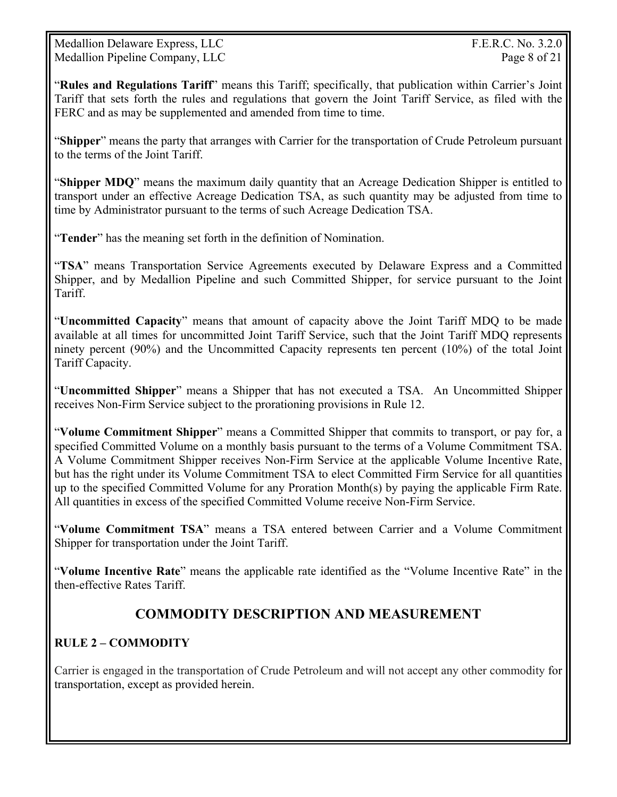Medallion Delaware Express, LLC The Contract of the Second Seconds and T.E.R.C. No. 3.2.0 Medallion Pipeline Company, LLC Page 8 of 21

"**Rules and Regulations Tariff**" means this Tariff; specifically, that publication within Carrier's Joint Tariff that sets forth the rules and regulations that govern the Joint Tariff Service, as filed with the FERC and as may be supplemented and amended from time to time.

"**Shipper**" means the party that arranges with Carrier for the transportation of Crude Petroleum pursuant to the terms of the Joint Tariff.

"**Shipper MDQ**" means the maximum daily quantity that an Acreage Dedication Shipper is entitled to transport under an effective Acreage Dedication TSA, as such quantity may be adjusted from time to time by Administrator pursuant to the terms of such Acreage Dedication TSA.

"**Tender**" has the meaning set forth in the definition of Nomination.

"**TSA**" means Transportation Service Agreements executed by Delaware Express and a Committed Shipper, and by Medallion Pipeline and such Committed Shipper, for service pursuant to the Joint Tariff.

"**Uncommitted Capacity**" means that amount of capacity above the Joint Tariff MDQ to be made available at all times for uncommitted Joint Tariff Service, such that the Joint Tariff MDQ represents ninety percent (90%) and the Uncommitted Capacity represents ten percent (10%) of the total Joint Tariff Capacity.

"**Uncommitted Shipper**" means a Shipper that has not executed a TSA. An Uncommitted Shipper receives Non-Firm Service subject to the prorationing provisions in Rule 12.

"**Volume Commitment Shipper**" means a Committed Shipper that commits to transport, or pay for, a specified Committed Volume on a monthly basis pursuant to the terms of a Volume Commitment TSA. A Volume Commitment Shipper receives Non-Firm Service at the applicable Volume Incentive Rate, but has the right under its Volume Commitment TSA to elect Committed Firm Service for all quantities up to the specified Committed Volume for any Proration Month(s) by paying the applicable Firm Rate. All quantities in excess of the specified Committed Volume receive Non-Firm Service.

"**Volume Commitment TSA**" means a TSA entered between Carrier and a Volume Commitment Shipper for transportation under the Joint Tariff.

"**Volume Incentive Rate**" means the applicable rate identified as the "Volume Incentive Rate" in the then-effective Rates Tariff.

# **COMMODITY DESCRIPTION AND MEASUREMENT**

# **RULE 2 – COMMODITY**

Carrier is engaged in the transportation of Crude Petroleum and will not accept any other commodity for transportation, except as provided herein.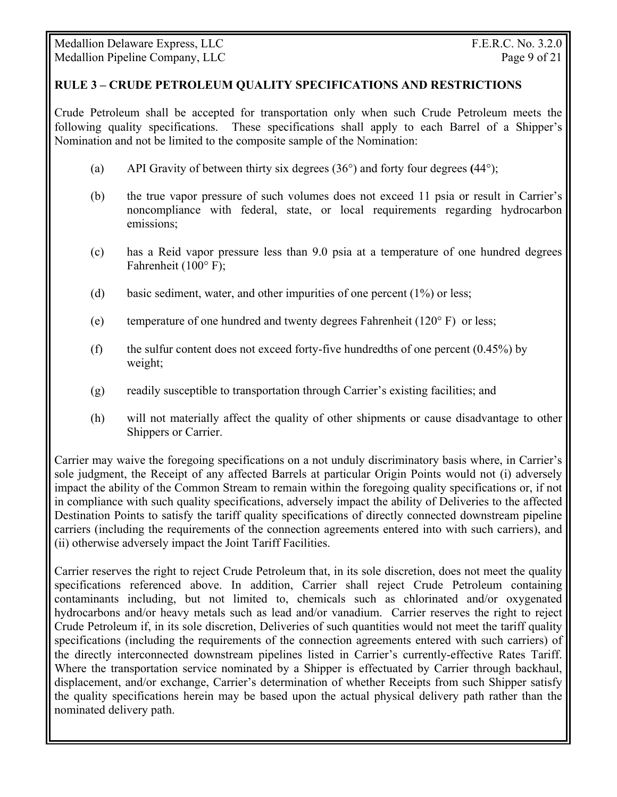#### **RULE 3 – CRUDE PETROLEUM QUALITY SPECIFICATIONS AND RESTRICTIONS**

Crude Petroleum shall be accepted for transportation only when such Crude Petroleum meets the following quality specifications. These specifications shall apply to each Barrel of a Shipper's Nomination and not be limited to the composite sample of the Nomination:

- (a) API Gravity of between thirty six degrees (36°) and forty four degrees **(**44°);
- (b) the true vapor pressure of such volumes does not exceed 11 psia or result in Carrier's noncompliance with federal, state, or local requirements regarding hydrocarbon emissions;
- (c) has a Reid vapor pressure less than 9.0 psia at a temperature of one hundred degrees Fahrenheit (100° F);
- (d) basic sediment, water, and other impurities of one percent (1%) or less;
- (e) temperature of one hundred and twenty degrees Fahrenheit (120° F) or less;
- (f) the sulfur content does not exceed forty-five hundredths of one percent  $(0.45\%)$  by weight;
- (g) readily susceptible to transportation through Carrier's existing facilities; and
- (h) will not materially affect the quality of other shipments or cause disadvantage to other Shippers or Carrier.

Carrier may waive the foregoing specifications on a not unduly discriminatory basis where, in Carrier's sole judgment, the Receipt of any affected Barrels at particular Origin Points would not (i) adversely impact the ability of the Common Stream to remain within the foregoing quality specifications or, if not in compliance with such quality specifications, adversely impact the ability of Deliveries to the affected Destination Points to satisfy the tariff quality specifications of directly connected downstream pipeline carriers (including the requirements of the connection agreements entered into with such carriers), and (ii) otherwise adversely impact the Joint Tariff Facilities.

Carrier reserves the right to reject Crude Petroleum that, in its sole discretion, does not meet the quality specifications referenced above. In addition, Carrier shall reject Crude Petroleum containing contaminants including, but not limited to, chemicals such as chlorinated and/or oxygenated hydrocarbons and/or heavy metals such as lead and/or vanadium. Carrier reserves the right to reject Crude Petroleum if, in its sole discretion, Deliveries of such quantities would not meet the tariff quality specifications (including the requirements of the connection agreements entered with such carriers) of the directly interconnected downstream pipelines listed in Carrier's currently-effective Rates Tariff. Where the transportation service nominated by a Shipper is effectuated by Carrier through backhaul, displacement, and/or exchange, Carrier's determination of whether Receipts from such Shipper satisfy the quality specifications herein may be based upon the actual physical delivery path rather than the nominated delivery path.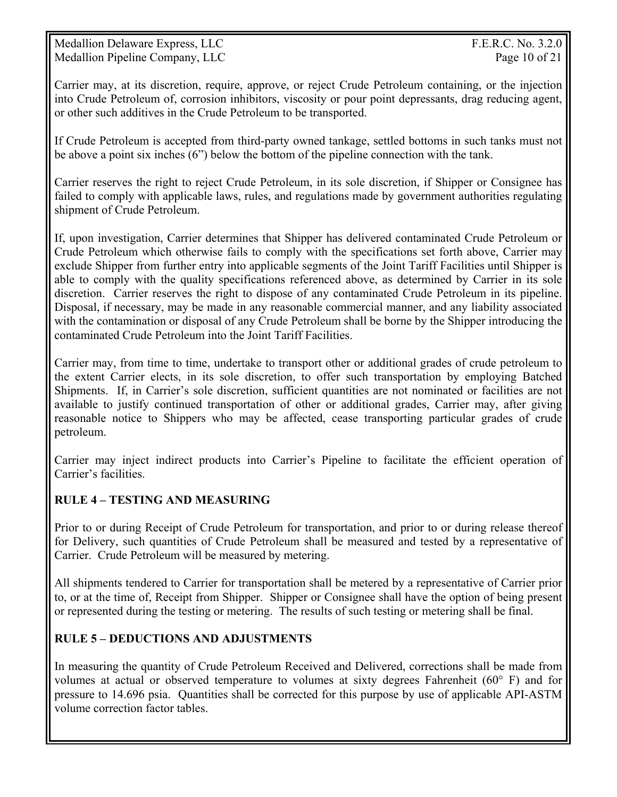Medallion Delaware Express, LLC The Contract of the Second Seconds and T.E.R.C. No. 3.2.0 Medallion Pipeline Company, LLC Page 10 of 21

Carrier may, at its discretion, require, approve, or reject Crude Petroleum containing, or the injection into Crude Petroleum of, corrosion inhibitors, viscosity or pour point depressants, drag reducing agent, or other such additives in the Crude Petroleum to be transported.

If Crude Petroleum is accepted from third-party owned tankage, settled bottoms in such tanks must not be above a point six inches (6") below the bottom of the pipeline connection with the tank.

Carrier reserves the right to reject Crude Petroleum, in its sole discretion, if Shipper or Consignee has failed to comply with applicable laws, rules, and regulations made by government authorities regulating shipment of Crude Petroleum.

If, upon investigation, Carrier determines that Shipper has delivered contaminated Crude Petroleum or Crude Petroleum which otherwise fails to comply with the specifications set forth above, Carrier may exclude Shipper from further entry into applicable segments of the Joint Tariff Facilities until Shipper is able to comply with the quality specifications referenced above, as determined by Carrier in its sole discretion. Carrier reserves the right to dispose of any contaminated Crude Petroleum in its pipeline. Disposal, if necessary, may be made in any reasonable commercial manner, and any liability associated with the contamination or disposal of any Crude Petroleum shall be borne by the Shipper introducing the contaminated Crude Petroleum into the Joint Tariff Facilities.

Carrier may, from time to time, undertake to transport other or additional grades of crude petroleum to the extent Carrier elects, in its sole discretion, to offer such transportation by employing Batched Shipments. If, in Carrier's sole discretion, sufficient quantities are not nominated or facilities are not available to justify continued transportation of other or additional grades, Carrier may, after giving reasonable notice to Shippers who may be affected, cease transporting particular grades of crude petroleum.

Carrier may inject indirect products into Carrier's Pipeline to facilitate the efficient operation of Carrier's facilities.

#### **RULE 4 – TESTING AND MEASURING**

Prior to or during Receipt of Crude Petroleum for transportation, and prior to or during release thereof for Delivery, such quantities of Crude Petroleum shall be measured and tested by a representative of Carrier. Crude Petroleum will be measured by metering.

All shipments tendered to Carrier for transportation shall be metered by a representative of Carrier prior to, or at the time of, Receipt from Shipper. Shipper or Consignee shall have the option of being present or represented during the testing or metering. The results of such testing or metering shall be final.

### **RULE 5 – DEDUCTIONS AND ADJUSTMENTS**

In measuring the quantity of Crude Petroleum Received and Delivered, corrections shall be made from volumes at actual or observed temperature to volumes at sixty degrees Fahrenheit (60° F) and for pressure to 14.696 psia. Quantities shall be corrected for this purpose by use of applicable API-ASTM volume correction factor tables.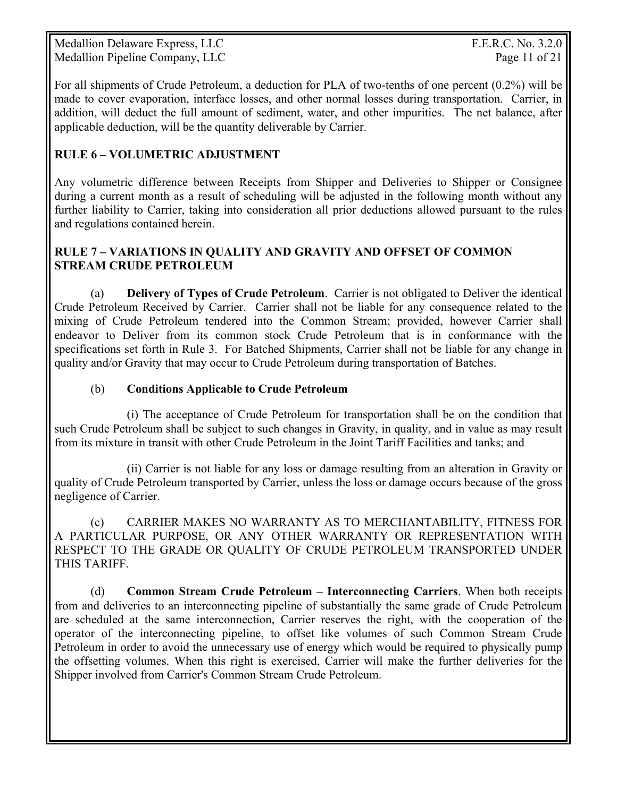Medallion Delaware Express, LLC The Contract of the Second Seconds and T.E.R.C. No. 3.2.0 Medallion Pipeline Company, LLC Page 11 of 21

For all shipments of Crude Petroleum, a deduction for PLA of two-tenths of one percent (0.2%) will be made to cover evaporation, interface losses, and other normal losses during transportation. Carrier, in addition, will deduct the full amount of sediment, water, and other impurities. The net balance, after applicable deduction, will be the quantity deliverable by Carrier.

#### **RULE 6 – VOLUMETRIC ADJUSTMENT**

Any volumetric difference between Receipts from Shipper and Deliveries to Shipper or Consignee during a current month as a result of scheduling will be adjusted in the following month without any further liability to Carrier, taking into consideration all prior deductions allowed pursuant to the rules and regulations contained herein.

#### **RULE 7 – VARIATIONS IN QUALITY AND GRAVITY AND OFFSET OF COMMON STREAM CRUDE PETROLEUM**

(a) **Delivery of Types of Crude Petroleum**. Carrier is not obligated to Deliver the identical Crude Petroleum Received by Carrier. Carrier shall not be liable for any consequence related to the mixing of Crude Petroleum tendered into the Common Stream; provided, however Carrier shall endeavor to Deliver from its common stock Crude Petroleum that is in conformance with the specifications set forth in Rule 3. For Batched Shipments, Carrier shall not be liable for any change in quality and/or Gravity that may occur to Crude Petroleum during transportation of Batches.

#### (b) **Conditions Applicable to Crude Petroleum**

 (i) The acceptance of Crude Petroleum for transportation shall be on the condition that such Crude Petroleum shall be subject to such changes in Gravity, in quality, and in value as may result from its mixture in transit with other Crude Petroleum in the Joint Tariff Facilities and tanks; and

 (ii) Carrier is not liable for any loss or damage resulting from an alteration in Gravity or quality of Crude Petroleum transported by Carrier, unless the loss or damage occurs because of the gross negligence of Carrier.

 (c) CARRIER MAKES NO WARRANTY AS TO MERCHANTABILITY, FITNESS FOR A PARTICULAR PURPOSE, OR ANY OTHER WARRANTY OR REPRESENTATION WITH RESPECT TO THE GRADE OR QUALITY OF CRUDE PETROLEUM TRANSPORTED UNDER THIS TARIFF.

 (d) **Common Stream Crude Petroleum – Interconnecting Carriers**. When both receipts from and deliveries to an interconnecting pipeline of substantially the same grade of Crude Petroleum are scheduled at the same interconnection, Carrier reserves the right, with the cooperation of the operator of the interconnecting pipeline, to offset like volumes of such Common Stream Crude Petroleum in order to avoid the unnecessary use of energy which would be required to physically pump the offsetting volumes. When this right is exercised, Carrier will make the further deliveries for the Shipper involved from Carrier's Common Stream Crude Petroleum.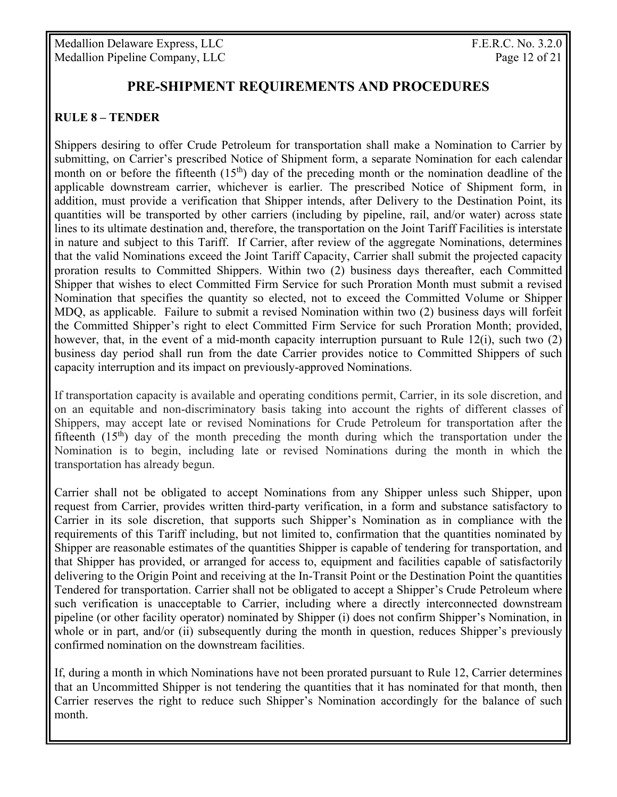Medallion Delaware Express, LLC The Contract of the Second Seconds and T.E.R.C. No. 3.2.0 Medallion Pipeline Company, LLC Page 12 of 21

## **PRE-SHIPMENT REQUIREMENTS AND PROCEDURES**

#### **RULE 8 – TENDER**

Shippers desiring to offer Crude Petroleum for transportation shall make a Nomination to Carrier by submitting, on Carrier's prescribed Notice of Shipment form, a separate Nomination for each calendar month on or before the fifteenth  $(15<sup>th</sup>)$  day of the preceding month or the nomination deadline of the applicable downstream carrier, whichever is earlier. The prescribed Notice of Shipment form, in addition, must provide a verification that Shipper intends, after Delivery to the Destination Point, its quantities will be transported by other carriers (including by pipeline, rail, and/or water) across state lines to its ultimate destination and, therefore, the transportation on the Joint Tariff Facilities is interstate in nature and subject to this Tariff. If Carrier, after review of the aggregate Nominations, determines that the valid Nominations exceed the Joint Tariff Capacity, Carrier shall submit the projected capacity proration results to Committed Shippers. Within two (2) business days thereafter, each Committed Shipper that wishes to elect Committed Firm Service for such Proration Month must submit a revised Nomination that specifies the quantity so elected, not to exceed the Committed Volume or Shipper MDQ, as applicable. Failure to submit a revised Nomination within two (2) business days will forfeit the Committed Shipper's right to elect Committed Firm Service for such Proration Month; provided, however, that, in the event of a mid-month capacity interruption pursuant to Rule 12(i), such two (2) business day period shall run from the date Carrier provides notice to Committed Shippers of such capacity interruption and its impact on previously-approved Nominations.

If transportation capacity is available and operating conditions permit, Carrier, in its sole discretion, and on an equitable and non-discriminatory basis taking into account the rights of different classes of Shippers, may accept late or revised Nominations for Crude Petroleum for transportation after the fifteenth  $(15<sup>th</sup>)$  day of the month preceding the month during which the transportation under the Nomination is to begin, including late or revised Nominations during the month in which the transportation has already begun.

Carrier shall not be obligated to accept Nominations from any Shipper unless such Shipper, upon request from Carrier, provides written third-party verification, in a form and substance satisfactory to Carrier in its sole discretion, that supports such Shipper's Nomination as in compliance with the requirements of this Tariff including, but not limited to, confirmation that the quantities nominated by Shipper are reasonable estimates of the quantities Shipper is capable of tendering for transportation, and that Shipper has provided, or arranged for access to, equipment and facilities capable of satisfactorily delivering to the Origin Point and receiving at the In-Transit Point or the Destination Point the quantities Tendered for transportation. Carrier shall not be obligated to accept a Shipper's Crude Petroleum where such verification is unacceptable to Carrier, including where a directly interconnected downstream pipeline (or other facility operator) nominated by Shipper (i) does not confirm Shipper's Nomination, in whole or in part, and/or (ii) subsequently during the month in question, reduces Shipper's previously confirmed nomination on the downstream facilities.

If, during a month in which Nominations have not been prorated pursuant to Rule 12, Carrier determines that an Uncommitted Shipper is not tendering the quantities that it has nominated for that month, then Carrier reserves the right to reduce such Shipper's Nomination accordingly for the balance of such month.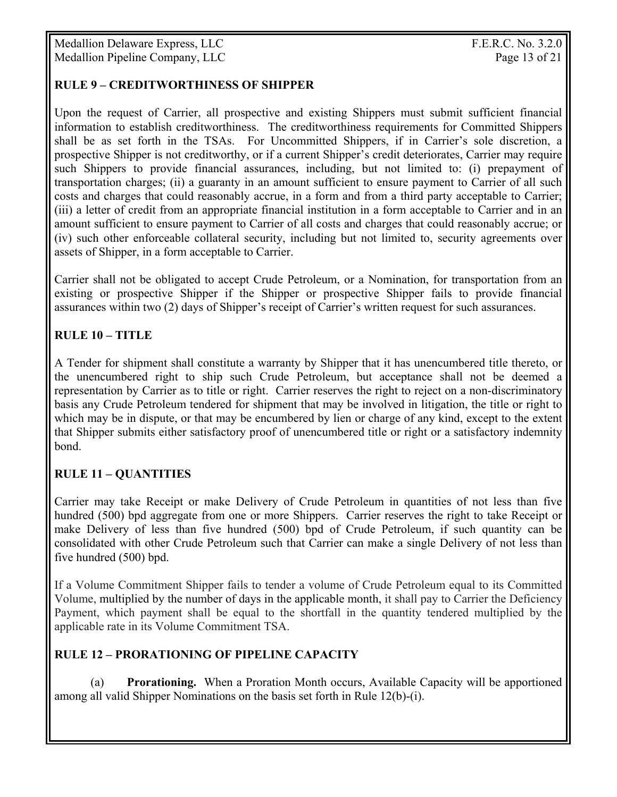## **RULE 9 – CREDITWORTHINESS OF SHIPPER**

Upon the request of Carrier, all prospective and existing Shippers must submit sufficient financial information to establish creditworthiness. The creditworthiness requirements for Committed Shippers shall be as set forth in the TSAs. For Uncommitted Shippers, if in Carrier's sole discretion, a prospective Shipper is not creditworthy, or if a current Shipper's credit deteriorates, Carrier may require such Shippers to provide financial assurances, including, but not limited to: (i) prepayment of transportation charges; (ii) a guaranty in an amount sufficient to ensure payment to Carrier of all such costs and charges that could reasonably accrue, in a form and from a third party acceptable to Carrier; (iii) a letter of credit from an appropriate financial institution in a form acceptable to Carrier and in an amount sufficient to ensure payment to Carrier of all costs and charges that could reasonably accrue; or (iv) such other enforceable collateral security, including but not limited to, security agreements over assets of Shipper, in a form acceptable to Carrier.

Carrier shall not be obligated to accept Crude Petroleum, or a Nomination, for transportation from an existing or prospective Shipper if the Shipper or prospective Shipper fails to provide financial assurances within two (2) days of Shipper's receipt of Carrier's written request for such assurances.

# **RULE 10 – TITLE**

A Tender for shipment shall constitute a warranty by Shipper that it has unencumbered title thereto, or the unencumbered right to ship such Crude Petroleum, but acceptance shall not be deemed a representation by Carrier as to title or right. Carrier reserves the right to reject on a non-discriminatory basis any Crude Petroleum tendered for shipment that may be involved in litigation, the title or right to which may be in dispute, or that may be encumbered by lien or charge of any kind, except to the extent that Shipper submits either satisfactory proof of unencumbered title or right or a satisfactory indemnity bond.

### **RULE 11 – QUANTITIES**

Carrier may take Receipt or make Delivery of Crude Petroleum in quantities of not less than five hundred (500) bpd aggregate from one or more Shippers. Carrier reserves the right to take Receipt or make Delivery of less than five hundred (500) bpd of Crude Petroleum, if such quantity can be consolidated with other Crude Petroleum such that Carrier can make a single Delivery of not less than five hundred (500) bpd.

If a Volume Commitment Shipper fails to tender a volume of Crude Petroleum equal to its Committed Volume, multiplied by the number of days in the applicable month, it shall pay to Carrier the Deficiency Payment, which payment shall be equal to the shortfall in the quantity tendered multiplied by the applicable rate in its Volume Commitment TSA.

### **RULE 12 – PRORATIONING OF PIPELINE CAPACITY**

(a) **Prorationing.** When a Proration Month occurs, Available Capacity will be apportioned among all valid Shipper Nominations on the basis set forth in Rule 12(b)-(i).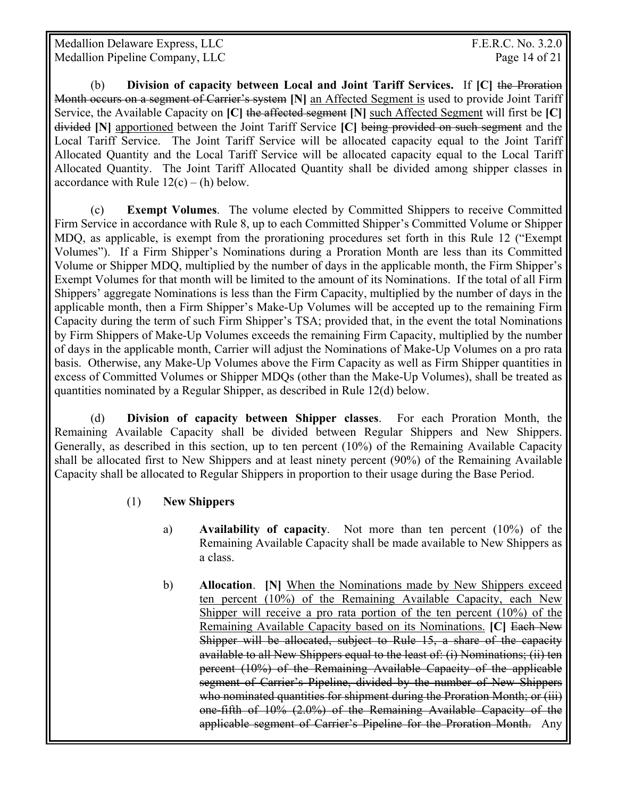Medallion Delaware Express, LLC The Contract of the Second Seconds and T.E.R.C. No. 3.2.0 Medallion Pipeline Company, LLC Page 14 of 21

(b) **Division of capacity between Local and Joint Tariff Services.** If **[C]** the Proration Month occurs on a segment of Carrier's system **[N]** an Affected Segment is used to provide Joint Tariff Service, the Available Capacity on **[C]** the affected segment **[N]** such Affected Segment will first be **[C]** divided **[N]** apportioned between the Joint Tariff Service **[C]** being provided on such segment and the Local Tariff Service. The Joint Tariff Service will be allocated capacity equal to the Joint Tariff Allocated Quantity and the Local Tariff Service will be allocated capacity equal to the Local Tariff Allocated Quantity. The Joint Tariff Allocated Quantity shall be divided among shipper classes in accordance with Rule  $12(c) - (h)$  below.

 (c) **Exempt Volumes**. The volume elected by Committed Shippers to receive Committed Firm Service in accordance with Rule 8, up to each Committed Shipper's Committed Volume or Shipper MDQ, as applicable, is exempt from the prorationing procedures set forth in this Rule 12 ("Exempt Volumes"). If a Firm Shipper's Nominations during a Proration Month are less than its Committed Volume or Shipper MDQ, multiplied by the number of days in the applicable month, the Firm Shipper's Exempt Volumes for that month will be limited to the amount of its Nominations. If the total of all Firm Shippers' aggregate Nominations is less than the Firm Capacity, multiplied by the number of days in the applicable month, then a Firm Shipper's Make-Up Volumes will be accepted up to the remaining Firm Capacity during the term of such Firm Shipper's TSA; provided that, in the event the total Nominations by Firm Shippers of Make-Up Volumes exceeds the remaining Firm Capacity, multiplied by the number of days in the applicable month, Carrier will adjust the Nominations of Make-Up Volumes on a pro rata basis. Otherwise, any Make-Up Volumes above the Firm Capacity as well as Firm Shipper quantities in excess of Committed Volumes or Shipper MDQs (other than the Make-Up Volumes), shall be treated as quantities nominated by a Regular Shipper, as described in Rule 12(d) below.

(d) **Division of capacity between Shipper classes**. For each Proration Month, the Remaining Available Capacity shall be divided between Regular Shippers and New Shippers. Generally, as described in this section, up to ten percent (10%) of the Remaining Available Capacity shall be allocated first to New Shippers and at least ninety percent (90%) of the Remaining Available Capacity shall be allocated to Regular Shippers in proportion to their usage during the Base Period.

- (1) **New Shippers**
	- a) **Availability of capacity**. Not more than ten percent (10%) of the Remaining Available Capacity shall be made available to New Shippers as a class.
	- b) **Allocation**. **[N]** When the Nominations made by New Shippers exceed ten percent (10%) of the Remaining Available Capacity, each New Shipper will receive a pro rata portion of the ten percent (10%) of the Remaining Available Capacity based on its Nominations. **[C]** Each New Shipper will be allocated, subject to Rule 15, a share of the capacity available to all New Shippers equal to the least of: (i) Nominations; (ii) ten percent (10%) of the Remaining Available Capacity of the applicable segment of Carrier's Pipeline, divided by the number of New Shippers who nominated quantities for shipment during the Proration Month; or (iii) one-fifth of 10% (2.0%) of the Remaining Available Capacity of the applicable segment of Carrier's Pipeline for the Proration Month. Any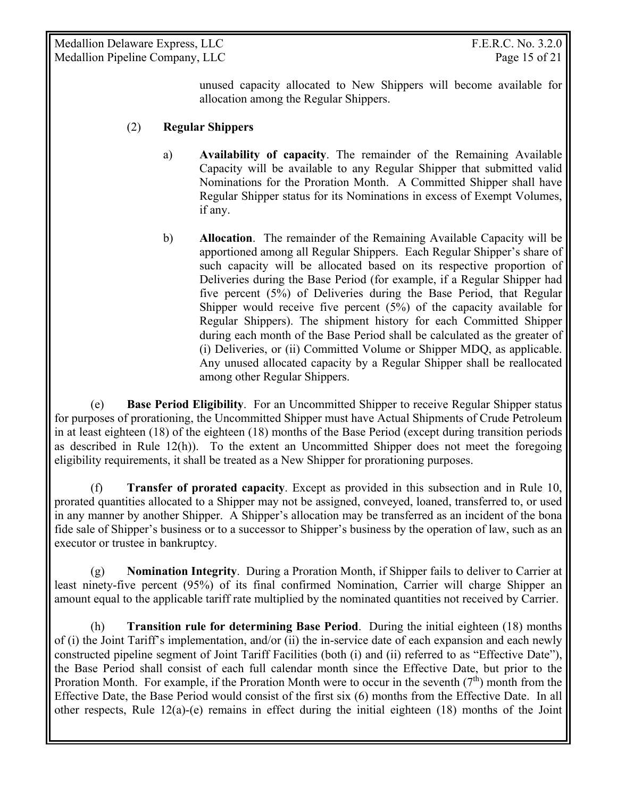Medallion Delaware Express, LLC The Contract of the Second Seconds and T.E.R.C. No. 3.2.0 Medallion Pipeline Company, LLC Page 15 of 21

unused capacity allocated to New Shippers will become available for allocation among the Regular Shippers.

#### (2) **Regular Shippers**

- a) **Availability of capacity**. The remainder of the Remaining Available Capacity will be available to any Regular Shipper that submitted valid Nominations for the Proration Month. A Committed Shipper shall have Regular Shipper status for its Nominations in excess of Exempt Volumes, if any.
- b) **Allocation**. The remainder of the Remaining Available Capacity will be apportioned among all Regular Shippers. Each Regular Shipper's share of such capacity will be allocated based on its respective proportion of Deliveries during the Base Period (for example, if a Regular Shipper had five percent (5%) of Deliveries during the Base Period, that Regular Shipper would receive five percent  $(5%)$  of the capacity available for Regular Shippers). The shipment history for each Committed Shipper during each month of the Base Period shall be calculated as the greater of (i) Deliveries, or (ii) Committed Volume or Shipper MDQ, as applicable. Any unused allocated capacity by a Regular Shipper shall be reallocated among other Regular Shippers.

 (e) **Base Period Eligibility**. For an Uncommitted Shipper to receive Regular Shipper status for purposes of prorationing, the Uncommitted Shipper must have Actual Shipments of Crude Petroleum in at least eighteen (18) of the eighteen (18) months of the Base Period (except during transition periods as described in Rule 12(h)). To the extent an Uncommitted Shipper does not meet the foregoing eligibility requirements, it shall be treated as a New Shipper for prorationing purposes.

 (f) **Transfer of prorated capacity**. Except as provided in this subsection and in Rule 10, prorated quantities allocated to a Shipper may not be assigned, conveyed, loaned, transferred to, or used in any manner by another Shipper. A Shipper's allocation may be transferred as an incident of the bona fide sale of Shipper's business or to a successor to Shipper's business by the operation of law, such as an executor or trustee in bankruptcy.

 (g) **Nomination Integrity**. During a Proration Month, if Shipper fails to deliver to Carrier at least ninety-five percent (95%) of its final confirmed Nomination, Carrier will charge Shipper an amount equal to the applicable tariff rate multiplied by the nominated quantities not received by Carrier.

(h) **Transition rule for determining Base Period**. During the initial eighteen (18) months of (i) the Joint Tariff's implementation, and/or (ii) the in-service date of each expansion and each newly constructed pipeline segment of Joint Tariff Facilities (both (i) and (ii) referred to as "Effective Date"), the Base Period shall consist of each full calendar month since the Effective Date, but prior to the Proration Month. For example, if the Proration Month were to occur in the seventh  $(7<sup>th</sup>)$  month from the Effective Date, the Base Period would consist of the first six (6) months from the Effective Date. In all other respects, Rule  $12(a)-(e)$  remains in effect during the initial eighteen  $(18)$  months of the Joint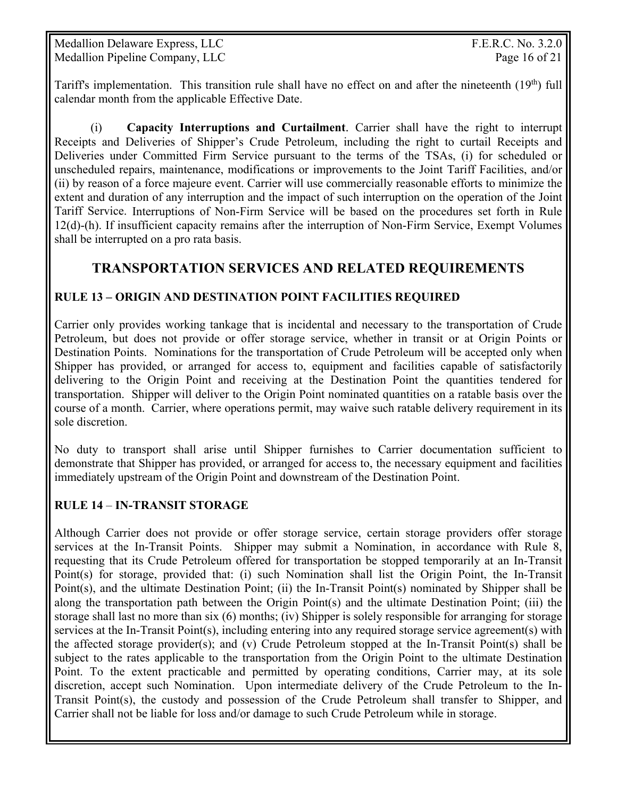Medallion Delaware Express, LLC The Contract of the Second Seconds and T.E.R.C. No. 3.2.0 Medallion Pipeline Company, LLC Page 16 of 21

Tariff's implementation. This transition rule shall have no effect on and after the nineteenth  $(19<sup>th</sup>)$  full calendar month from the applicable Effective Date.

(i) **Capacity Interruptions and Curtailment**. Carrier shall have the right to interrupt Receipts and Deliveries of Shipper's Crude Petroleum, including the right to curtail Receipts and Deliveries under Committed Firm Service pursuant to the terms of the TSAs, (i) for scheduled or unscheduled repairs, maintenance, modifications or improvements to the Joint Tariff Facilities, and/or (ii) by reason of a force majeure event. Carrier will use commercially reasonable efforts to minimize the extent and duration of any interruption and the impact of such interruption on the operation of the Joint Tariff Service. Interruptions of Non-Firm Service will be based on the procedures set forth in Rule 12(d)-(h). If insufficient capacity remains after the interruption of Non-Firm Service, Exempt Volumes shall be interrupted on a pro rata basis.

# **TRANSPORTATION SERVICES AND RELATED REQUIREMENTS**

#### **RULE 13 – ORIGIN AND DESTINATION POINT FACILITIES REQUIRED**

Carrier only provides working tankage that is incidental and necessary to the transportation of Crude Petroleum, but does not provide or offer storage service, whether in transit or at Origin Points or Destination Points. Nominations for the transportation of Crude Petroleum will be accepted only when Shipper has provided, or arranged for access to, equipment and facilities capable of satisfactorily delivering to the Origin Point and receiving at the Destination Point the quantities tendered for transportation. Shipper will deliver to the Origin Point nominated quantities on a ratable basis over the course of a month. Carrier, where operations permit, may waive such ratable delivery requirement in its sole discretion.

No duty to transport shall arise until Shipper furnishes to Carrier documentation sufficient to demonstrate that Shipper has provided, or arranged for access to, the necessary equipment and facilities immediately upstream of the Origin Point and downstream of the Destination Point.

#### **RULE 14** – **IN-TRANSIT STORAGE**

Although Carrier does not provide or offer storage service, certain storage providers offer storage services at the In-Transit Points. Shipper may submit a Nomination, in accordance with Rule 8, requesting that its Crude Petroleum offered for transportation be stopped temporarily at an In-Transit Point(s) for storage, provided that: (i) such Nomination shall list the Origin Point, the In-Transit Point(s), and the ultimate Destination Point; (ii) the In-Transit Point(s) nominated by Shipper shall be along the transportation path between the Origin Point(s) and the ultimate Destination Point; (iii) the storage shall last no more than six (6) months; (iv) Shipper is solely responsible for arranging for storage services at the In-Transit Point(s), including entering into any required storage service agreement(s) with the affected storage provider(s); and (v) Crude Petroleum stopped at the In-Transit Point(s) shall be subject to the rates applicable to the transportation from the Origin Point to the ultimate Destination Point. To the extent practicable and permitted by operating conditions, Carrier may, at its sole discretion, accept such Nomination. Upon intermediate delivery of the Crude Petroleum to the In-Transit Point(s), the custody and possession of the Crude Petroleum shall transfer to Shipper, and Carrier shall not be liable for loss and/or damage to such Crude Petroleum while in storage.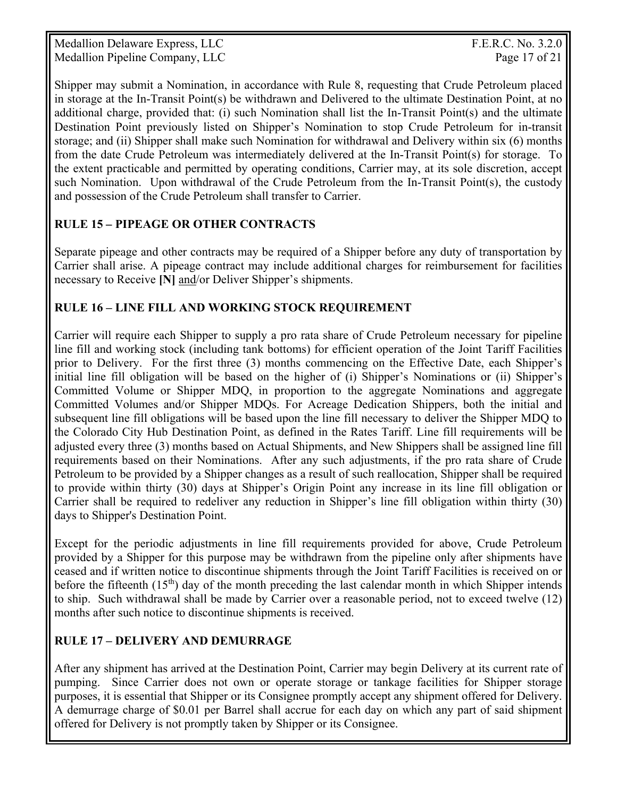Medallion Delaware Express, LLC The Contract of the Second Seconds and T.E.R.C. No. 3.2.0 Medallion Pipeline Company, LLC Page 17 of 21

Shipper may submit a Nomination, in accordance with Rule 8, requesting that Crude Petroleum placed in storage at the In-Transit Point(s) be withdrawn and Delivered to the ultimate Destination Point, at no additional charge, provided that: (i) such Nomination shall list the In-Transit Point(s) and the ultimate Destination Point previously listed on Shipper's Nomination to stop Crude Petroleum for in-transit storage; and (ii) Shipper shall make such Nomination for withdrawal and Delivery within six (6) months from the date Crude Petroleum was intermediately delivered at the In-Transit Point(s) for storage. To the extent practicable and permitted by operating conditions, Carrier may, at its sole discretion, accept such Nomination. Upon withdrawal of the Crude Petroleum from the In-Transit Point(s), the custody and possession of the Crude Petroleum shall transfer to Carrier.

# **RULE 15** *–* **PIPEAGE OR OTHER CONTRACTS**

Separate pipeage and other contracts may be required of a Shipper before any duty of transportation by Carrier shall arise. A pipeage contract may include additional charges for reimbursement for facilities necessary to Receive **[N]** and/or Deliver Shipper's shipments.

# **RULE 16 – LINE FILL AND WORKING STOCK REQUIREMENT**

Carrier will require each Shipper to supply a pro rata share of Crude Petroleum necessary for pipeline line fill and working stock (including tank bottoms) for efficient operation of the Joint Tariff Facilities prior to Delivery. For the first three (3) months commencing on the Effective Date, each Shipper's initial line fill obligation will be based on the higher of (i) Shipper's Nominations or (ii) Shipper's Committed Volume or Shipper MDQ, in proportion to the aggregate Nominations and aggregate Committed Volumes and/or Shipper MDQs. For Acreage Dedication Shippers, both the initial and subsequent line fill obligations will be based upon the line fill necessary to deliver the Shipper MDQ to the Colorado City Hub Destination Point, as defined in the Rates Tariff. Line fill requirements will be adjusted every three (3) months based on Actual Shipments, and New Shippers shall be assigned line fill requirements based on their Nominations. After any such adjustments, if the pro rata share of Crude Petroleum to be provided by a Shipper changes as a result of such reallocation, Shipper shall be required to provide within thirty (30) days at Shipper's Origin Point any increase in its line fill obligation or Carrier shall be required to redeliver any reduction in Shipper's line fill obligation within thirty (30) days to Shipper's Destination Point.

Except for the periodic adjustments in line fill requirements provided for above, Crude Petroleum provided by a Shipper for this purpose may be withdrawn from the pipeline only after shipments have ceased and if written notice to discontinue shipments through the Joint Tariff Facilities is received on or before the fifteenth  $(15<sup>th</sup>)$  day of the month preceding the last calendar month in which Shipper intends to ship. Such withdrawal shall be made by Carrier over a reasonable period, not to exceed twelve (12) months after such notice to discontinue shipments is received.

# **RULE 17 – DELIVERY AND DEMURRAGE**

After any shipment has arrived at the Destination Point, Carrier may begin Delivery at its current rate of pumping. Since Carrier does not own or operate storage or tankage facilities for Shipper storage purposes, it is essential that Shipper or its Consignee promptly accept any shipment offered for Delivery. A demurrage charge of \$0.01 per Barrel shall accrue for each day on which any part of said shipment offered for Delivery is not promptly taken by Shipper or its Consignee.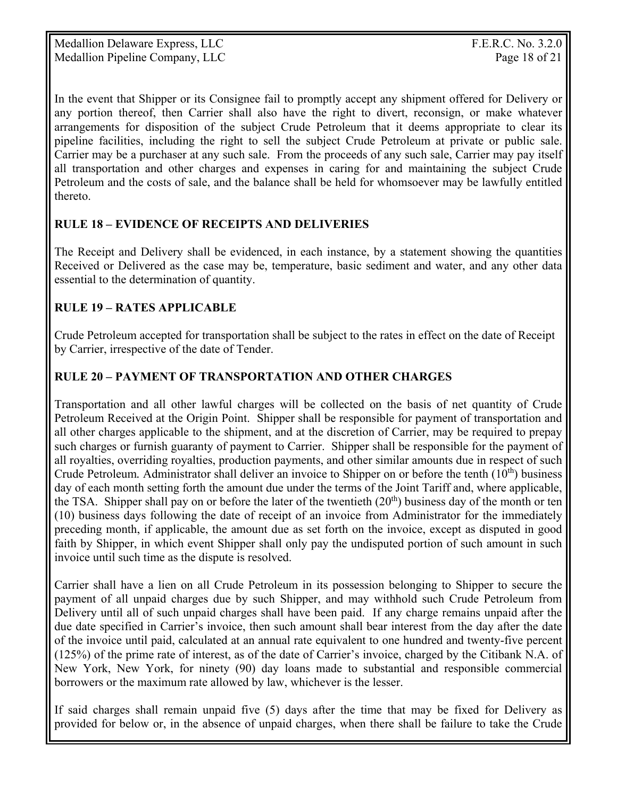Medallion Delaware Express, LLC F.E.R.C. No. 3.2.0 Medallion Pipeline Company, LLC Page 18 of 21

In the event that Shipper or its Consignee fail to promptly accept any shipment offered for Delivery or any portion thereof, then Carrier shall also have the right to divert, reconsign, or make whatever arrangements for disposition of the subject Crude Petroleum that it deems appropriate to clear its pipeline facilities, including the right to sell the subject Crude Petroleum at private or public sale. Carrier may be a purchaser at any such sale. From the proceeds of any such sale, Carrier may pay itself all transportation and other charges and expenses in caring for and maintaining the subject Crude Petroleum and the costs of sale, and the balance shall be held for whomsoever may be lawfully entitled thereto.

### **RULE 18 – EVIDENCE OF RECEIPTS AND DELIVERIES**

The Receipt and Delivery shall be evidenced, in each instance, by a statement showing the quantities Received or Delivered as the case may be, temperature, basic sediment and water, and any other data essential to the determination of quantity.

# **RULE 19 – RATES APPLICABLE**

Crude Petroleum accepted for transportation shall be subject to the rates in effect on the date of Receipt by Carrier, irrespective of the date of Tender.

# **RULE 20 – PAYMENT OF TRANSPORTATION AND OTHER CHARGES**

Transportation and all other lawful charges will be collected on the basis of net quantity of Crude Petroleum Received at the Origin Point. Shipper shall be responsible for payment of transportation and all other charges applicable to the shipment, and at the discretion of Carrier, may be required to prepay such charges or furnish guaranty of payment to Carrier. Shipper shall be responsible for the payment of all royalties, overriding royalties, production payments, and other similar amounts due in respect of such Crude Petroleum*.* Administrator shall deliver an invoice to Shipper on or before the tenth (10th) business day of each month setting forth the amount due under the terms of the Joint Tariff and, where applicable, the TSA. Shipper shall pay on or before the later of the twentieth  $(20<sup>th</sup>)$  business day of the month or ten (10) business days following the date of receipt of an invoice from Administrator for the immediately preceding month, if applicable, the amount due as set forth on the invoice, except as disputed in good faith by Shipper, in which event Shipper shall only pay the undisputed portion of such amount in such invoice until such time as the dispute is resolved.

Carrier shall have a lien on all Crude Petroleum in its possession belonging to Shipper to secure the payment of all unpaid charges due by such Shipper, and may withhold such Crude Petroleum from Delivery until all of such unpaid charges shall have been paid. If any charge remains unpaid after the due date specified in Carrier's invoice, then such amount shall bear interest from the day after the date of the invoice until paid, calculated at an annual rate equivalent to one hundred and twenty-five percent (125%) of the prime rate of interest, as of the date of Carrier's invoice, charged by the Citibank N.A. of New York, New York, for ninety (90) day loans made to substantial and responsible commercial borrowers or the maximum rate allowed by law, whichever is the lesser.

If said charges shall remain unpaid five (5) days after the time that may be fixed for Delivery as provided for below or, in the absence of unpaid charges, when there shall be failure to take the Crude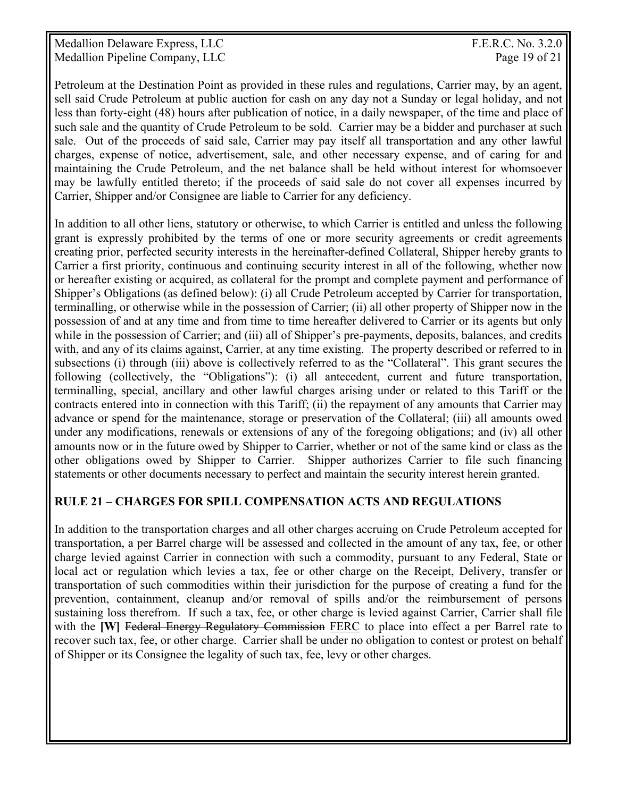Medallion Delaware Express, LLC The Contract of the Second Seconds and T.E.R.C. No. 3.2.0 Medallion Pipeline Company, LLC Page 19 of 21

Petroleum at the Destination Point as provided in these rules and regulations, Carrier may, by an agent, sell said Crude Petroleum at public auction for cash on any day not a Sunday or legal holiday, and not less than forty-eight (48) hours after publication of notice, in a daily newspaper, of the time and place of such sale and the quantity of Crude Petroleum to be sold. Carrier may be a bidder and purchaser at such sale. Out of the proceeds of said sale, Carrier may pay itself all transportation and any other lawful charges, expense of notice, advertisement, sale, and other necessary expense, and of caring for and maintaining the Crude Petroleum, and the net balance shall be held without interest for whomsoever may be lawfully entitled thereto; if the proceeds of said sale do not cover all expenses incurred by Carrier, Shipper and/or Consignee are liable to Carrier for any deficiency.

In addition to all other liens, statutory or otherwise, to which Carrier is entitled and unless the following grant is expressly prohibited by the terms of one or more security agreements or credit agreements creating prior, perfected security interests in the hereinafter-defined Collateral, Shipper hereby grants to Carrier a first priority, continuous and continuing security interest in all of the following, whether now or hereafter existing or acquired, as collateral for the prompt and complete payment and performance of Shipper's Obligations (as defined below): (i) all Crude Petroleum accepted by Carrier for transportation, terminalling, or otherwise while in the possession of Carrier; (ii) all other property of Shipper now in the possession of and at any time and from time to time hereafter delivered to Carrier or its agents but only while in the possession of Carrier; and (iii) all of Shipper's pre-payments, deposits, balances, and credits with, and any of its claims against, Carrier, at any time existing. The property described or referred to in subsections (i) through (iii) above is collectively referred to as the "Collateral". This grant secures the following (collectively, the "Obligations"): (i) all antecedent, current and future transportation, terminalling, special, ancillary and other lawful charges arising under or related to this Tariff or the contracts entered into in connection with this Tariff; (ii) the repayment of any amounts that Carrier may advance or spend for the maintenance, storage or preservation of the Collateral; (iii) all amounts owed under any modifications, renewals or extensions of any of the foregoing obligations; and (iv) all other amounts now or in the future owed by Shipper to Carrier, whether or not of the same kind or class as the other obligations owed by Shipper to Carrier. Shipper authorizes Carrier to file such financing statements or other documents necessary to perfect and maintain the security interest herein granted.

#### **RULE 21 – CHARGES FOR SPILL COMPENSATION ACTS AND REGULATIONS**

In addition to the transportation charges and all other charges accruing on Crude Petroleum accepted for transportation, a per Barrel charge will be assessed and collected in the amount of any tax, fee, or other charge levied against Carrier in connection with such a commodity, pursuant to any Federal, State or local act or regulation which levies a tax, fee or other charge on the Receipt, Delivery, transfer or transportation of such commodities within their jurisdiction for the purpose of creating a fund for the prevention, containment, cleanup and/or removal of spills and/or the reimbursement of persons sustaining loss therefrom. If such a tax, fee, or other charge is levied against Carrier, Carrier shall file with the **[W]** Federal Energy Regulatory Commission FERC to place into effect a per Barrel rate to recover such tax, fee, or other charge. Carrier shall be under no obligation to contest or protest on behalf of Shipper or its Consignee the legality of such tax, fee, levy or other charges.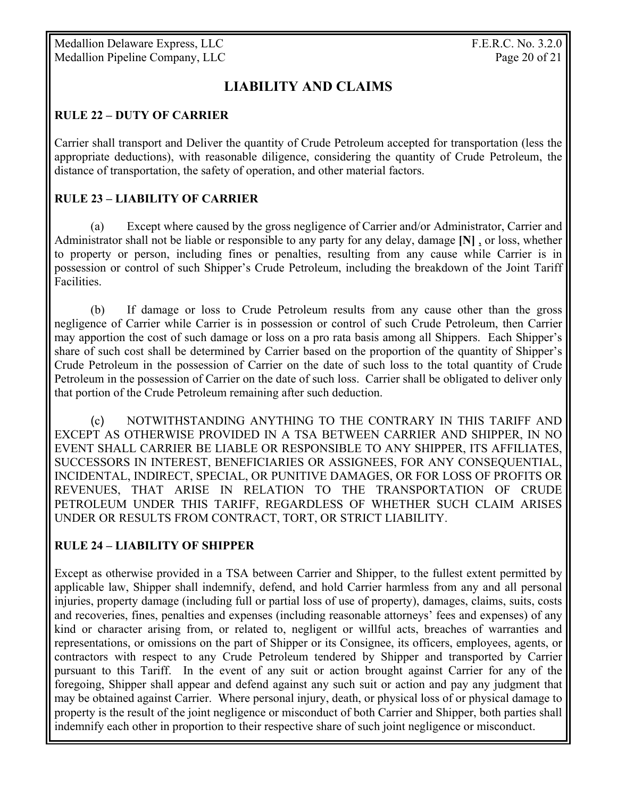Medallion Delaware Express, LLC F.E.R.C. No. 3.2.0 Medallion Pipeline Company, LLC Page 20 of 21

# **LIABILITY AND CLAIMS**

#### **RULE 22 – DUTY OF CARRIER**

Carrier shall transport and Deliver the quantity of Crude Petroleum accepted for transportation (less the appropriate deductions), with reasonable diligence, considering the quantity of Crude Petroleum, the distance of transportation, the safety of operation, and other material factors.

#### **RULE 23 – LIABILITY OF CARRIER**

 (a) Except where caused by the gross negligence of Carrier and/or Administrator, Carrier and Administrator shall not be liable or responsible to any party for any delay, damage **[N]** , or loss, whether to property or person, including fines or penalties, resulting from any cause while Carrier is in possession or control of such Shipper's Crude Petroleum, including the breakdown of the Joint Tariff Facilities.

 (b) If damage or loss to Crude Petroleum results from any cause other than the gross negligence of Carrier while Carrier is in possession or control of such Crude Petroleum, then Carrier may apportion the cost of such damage or loss on a pro rata basis among all Shippers. Each Shipper's share of such cost shall be determined by Carrier based on the proportion of the quantity of Shipper's Crude Petroleum in the possession of Carrier on the date of such loss to the total quantity of Crude Petroleum in the possession of Carrier on the date of such loss. Carrier shall be obligated to deliver only that portion of the Crude Petroleum remaining after such deduction.

 (c) NOTWITHSTANDING ANYTHING TO THE CONTRARY IN THIS TARIFF AND EXCEPT AS OTHERWISE PROVIDED IN A TSA BETWEEN CARRIER AND SHIPPER, IN NO EVENT SHALL CARRIER BE LIABLE OR RESPONSIBLE TO ANY SHIPPER, ITS AFFILIATES, SUCCESSORS IN INTEREST, BENEFICIARIES OR ASSIGNEES, FOR ANY CONSEQUENTIAL, INCIDENTAL, INDIRECT, SPECIAL, OR PUNITIVE DAMAGES, OR FOR LOSS OF PROFITS OR REVENUES, THAT ARISE IN RELATION TO THE TRANSPORTATION OF CRUDE PETROLEUM UNDER THIS TARIFF, REGARDLESS OF WHETHER SUCH CLAIM ARISES UNDER OR RESULTS FROM CONTRACT, TORT, OR STRICT LIABILITY.

#### **RULE 24 – LIABILITY OF SHIPPER**

Except as otherwise provided in a TSA between Carrier and Shipper, to the fullest extent permitted by applicable law, Shipper shall indemnify, defend, and hold Carrier harmless from any and all personal injuries, property damage (including full or partial loss of use of property), damages, claims, suits, costs and recoveries, fines, penalties and expenses (including reasonable attorneys' fees and expenses) of any kind or character arising from, or related to, negligent or willful acts, breaches of warranties and representations, or omissions on the part of Shipper or its Consignee, its officers, employees, agents, or contractors with respect to any Crude Petroleum tendered by Shipper and transported by Carrier pursuant to this Tariff. In the event of any suit or action brought against Carrier for any of the foregoing, Shipper shall appear and defend against any such suit or action and pay any judgment that may be obtained against Carrier. Where personal injury, death, or physical loss of or physical damage to property is the result of the joint negligence or misconduct of both Carrier and Shipper, both parties shall indemnify each other in proportion to their respective share of such joint negligence or misconduct.